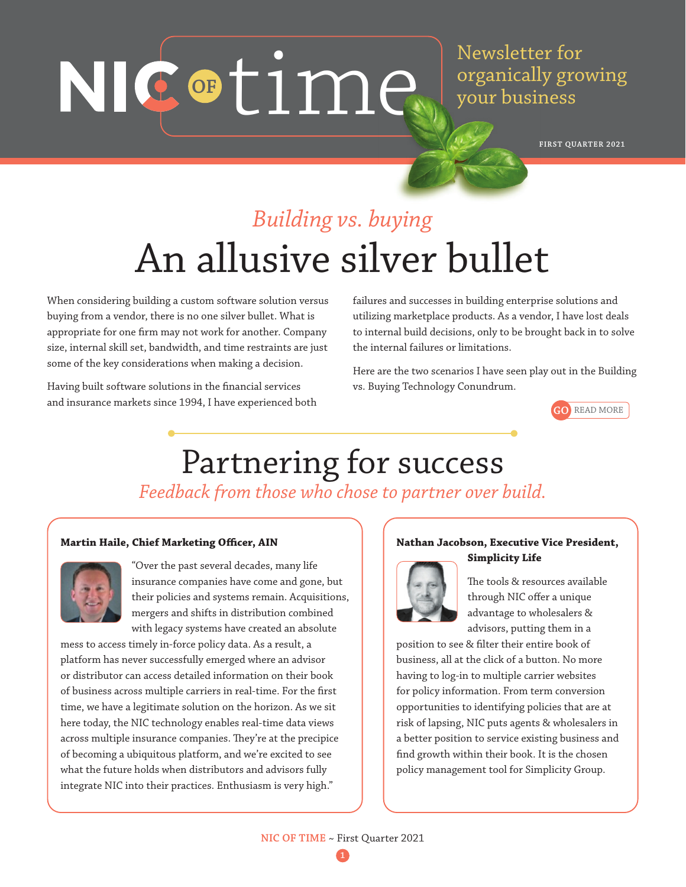# NIC of time.

Newsletter for organically growing your business

**FIRST QUARTER 2021**

## *Building vs. buying* An allusive silver bullet

When considering building a custom software solution versus buying from a vendor, there is no one silver bullet. What is appropriate for one firm may not work for another. Company size, internal skill set, bandwidth, and time restraints are just some of the key considerations when making a decision.

Having built software solutions in the financial services and insurance markets since 1994, I have experienced both failures and successes in building enterprise solutions and utilizing marketplace products. As a vendor, I have lost deals to internal build decisions, only to be brought back in to solve the internal failures or limitations.

Here are the two scenarios I have seen play out in the Building vs. Buying Technology Conundrum.



## Partnering for success *Feedback from those who chose to partner over build.*

#### **Martin Haile, Chief Marketing Officer, AIN**



"Over the past several decades, many life insurance companies have come and gone, but their policies and systems remain. Acquisitions, mergers and shifts in distribution combined with legacy systems have created an absolute

mess to access timely in-force policy data. As a result, a platform has never successfully emerged where an advisor or distributor can access detailed information on their book of business across multiple carriers in real-time. For the first time, we have a legitimate solution on the horizon. As we sit here today, the NIC technology enables real-time data views across multiple insurance companies. They're at the precipice of becoming a ubiquitous platform, and we're excited to see what the future holds when distributors and advisors fully integrate NIC into their practices. Enthusiasm is very high."

#### **Nathan Jacobson, Executive Vice President,**

### **Simplicity Life**



The tools & resources available through NIC offer a unique advantage to wholesalers & advisors, putting them in a

position to see & filter their entire book of business, all at the click of a button. No more having to log-in to multiple carrier websites for policy information. From term conversion opportunities to identifying policies that are at risk of lapsing, NIC puts agents & wholesalers in a better position to service existing business and find growth within their book. It is the chosen policy management tool for Simplicity Group.